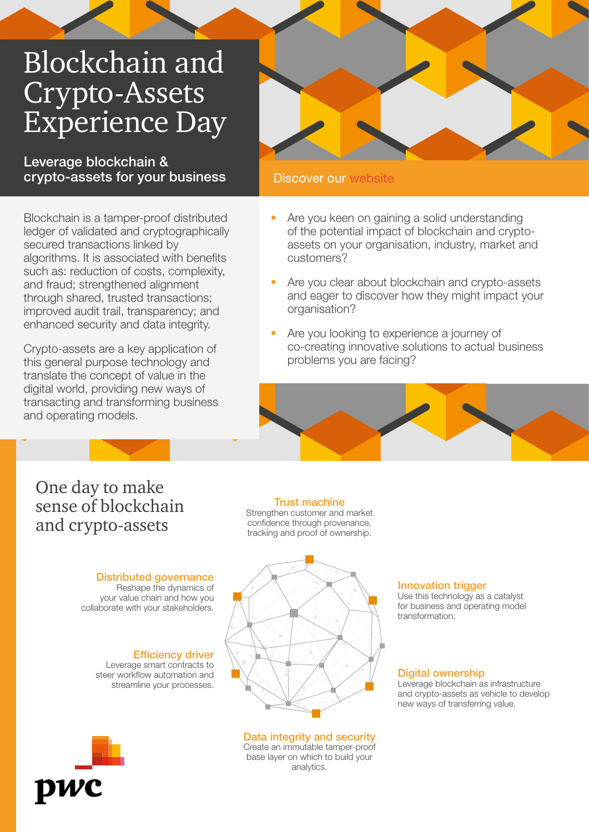# Blockchain and Crypto-Assets Experience Day

Leverage blockchain & crypto-assets for your business

Blockchain is a tamper-proof distributed ledger of validated and cryptographically secured transactions linked by algorithms. It is associated with benefits such as: reduction of costs, complexity, and fraud; strengthened alignment through shared, trusted transactions; improved audit trail, transparency; and enhanced security and data integrity.

Crypto-assets are a key application of this general purpose technology and translate the concept of value in the digital world, providing new ways of transacting and transforming business and operating models.

### Discover our [website](https://www.pwc.lu/en/blockchain-and-crypto-assets.html)

- Are you keen on gaining a solid understanding of the potential impact of blockchain and cryptoassets on your organisation, industry, market and customers?
- Are you clear about blockchain and crypto-assets and eager to discover how they might impact your organisation?
- Are you looking to experience a journey of co-creating innovative solutions to actual business problems you are facing?



## One day to make sense of blockchain and crypto-assets

#### Distributed governance

Reshape the dynamics of your value chain and how you collaborate with your stakeholders.

> Efficiency driver Leverage smart contracts to steer workflow automation and streamline your processes.



Trust machine Strengthen customer and market confidence through provenance, tracking and proof of ownership.

#### Data integrity and security

Create an immutable tamper-proof base layer on which to build your analytics.

#### Innovation trigger

Use this technology as a catalyst for business and operating model transformation.

#### Digital ownership

Leverage blockchain as infrastructure and crypto-assets as vehicle to develop new ways of transferring value.